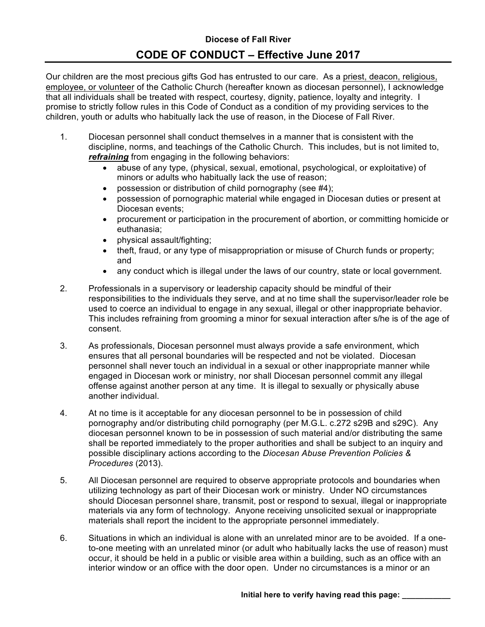Our children are the most precious gifts God has entrusted to our care. As a priest, deacon, religious, employee, or volunteer of the Catholic Church (hereafter known as diocesan personnel), I acknowledge that all individuals shall be treated with respect, courtesy, dignity, patience, loyalty and integrity. I promise to strictly follow rules in this Code of Conduct as a condition of my providing services to the children, youth or adults who habitually lack the use of reason, in the Diocese of Fall River.

- 1. Diocesan personnel shall conduct themselves in a manner that is consistent with the discipline, norms, and teachings of the Catholic Church. This includes, but is not limited to, *refraining* from engaging in the following behaviors:
	- abuse of any type, (physical, sexual, emotional, psychological, or exploitative) of minors or adults who habitually lack the use of reason;
	- possession or distribution of child pornography (see #4):
	- possession of pornographic material while engaged in Diocesan duties or present at Diocesan events;
	- procurement or participation in the procurement of abortion, or committing homicide or euthanasia;
	- physical assault/fighting;
	- theft, fraud, or any type of misappropriation or misuse of Church funds or property; and
	- any conduct which is illegal under the laws of our country, state or local government.
- 2. Professionals in a supervisory or leadership capacity should be mindful of their responsibilities to the individuals they serve, and at no time shall the supervisor/leader role be used to coerce an individual to engage in any sexual, illegal or other inappropriate behavior. This includes refraining from grooming a minor for sexual interaction after s/he is of the age of consent.
- 3. As professionals, Diocesan personnel must always provide a safe environment, which ensures that all personal boundaries will be respected and not be violated. Diocesan personnel shall never touch an individual in a sexual or other inappropriate manner while engaged in Diocesan work or ministry, nor shall Diocesan personnel commit any illegal offense against another person at any time. It is illegal to sexually or physically abuse another individual.
- 4. At no time is it acceptable for any diocesan personnel to be in possession of child pornography and/or distributing child pornography (per M.G.L. c.272 s29B and s29C). Any diocesan personnel known to be in possession of such material and/or distributing the same shall be reported immediately to the proper authorities and shall be subject to an inquiry and possible disciplinary actions according to the *Diocesan Abuse Prevention Policies & Procedures* (2013).
- 5. All Diocesan personnel are required to observe appropriate protocols and boundaries when utilizing technology as part of their Diocesan work or ministry. Under NO circumstances should Diocesan personnel share, transmit, post or respond to sexual, illegal or inappropriate materials via any form of technology. Anyone receiving unsolicited sexual or inappropriate materials shall report the incident to the appropriate personnel immediately.
- 6. Situations in which an individual is alone with an unrelated minor are to be avoided. If a oneto-one meeting with an unrelated minor (or adult who habitually lacks the use of reason) must occur, it should be held in a public or visible area within a building, such as an office with an interior window or an office with the door open. Under no circumstances is a minor or an